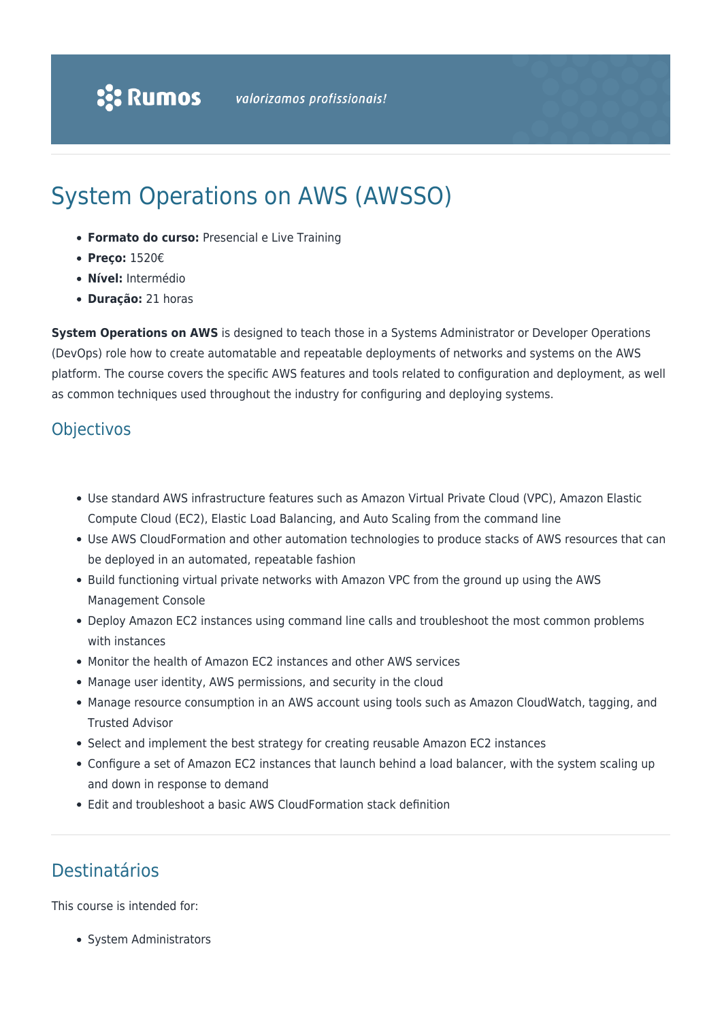# System Operations on AWS (AWSSO)

- **Formato do curso:** Presencial e Live Training
- **Preço:** 1520€
- **Nível:** Intermédio
- **Duração:** 21 horas

**System Operations on AWS** is designed to teach those in a Systems Administrator or Developer Operations (DevOps) role how to create automatable and repeatable deployments of networks and systems on the AWS platform. The course covers the specific AWS features and tools related to configuration and deployment, as well as common techniques used throughout the industry for configuring and deploying systems.

#### **Objectivos**

- Use standard AWS infrastructure features such as Amazon Virtual Private Cloud (VPC), Amazon Elastic Compute Cloud (EC2), Elastic Load Balancing, and Auto Scaling from the command line
- Use AWS CloudFormation and other automation technologies to produce stacks of AWS resources that can be deployed in an automated, repeatable fashion
- Build functioning virtual private networks with Amazon VPC from the ground up using the AWS Management Console
- Deploy Amazon EC2 instances using command line calls and troubleshoot the most common problems with instances
- Monitor the health of Amazon EC2 instances and other AWS services
- Manage user identity, AWS permissions, and security in the cloud
- Manage resource consumption in an AWS account using tools such as Amazon CloudWatch, tagging, and Trusted Advisor
- Select and implement the best strategy for creating reusable Amazon EC2 instances
- Configure a set of Amazon EC2 instances that launch behind a load balancer, with the system scaling up and down in response to demand
- Edit and troubleshoot a basic AWS CloudFormation stack definition

## Destinatários

This course is intended for:

• System Administrators